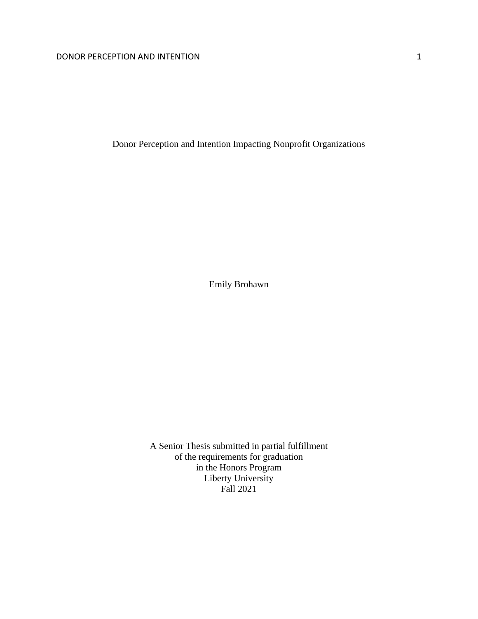Donor Perception and Intention Impacting Nonprofit Organizations

Emily Brohawn

A Senior Thesis submitted in partial fulfillment of the requirements for graduation in the Honors Program Liberty University Fall 2021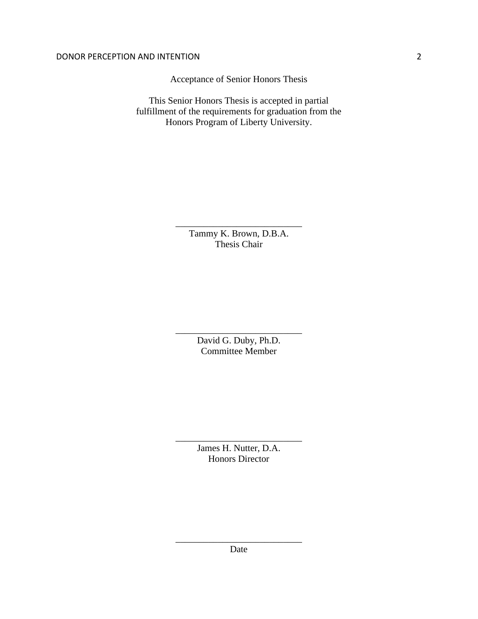Acceptance of Senior Honors Thesis

This Senior Honors Thesis is accepted in partial fulfillment of the requirements for graduation from the Honors Program of Liberty University.

> Tammy K. Brown, D.B.A. Thesis Chair

\_\_\_\_\_\_\_\_\_\_\_\_\_\_\_\_\_\_\_\_\_\_\_\_\_\_\_

David G. Duby, Ph.D. Committee Member

\_\_\_\_\_\_\_\_\_\_\_\_\_\_\_\_\_\_\_\_\_\_\_\_\_\_\_

James H. Nutter, D.A. Honors Director

\_\_\_\_\_\_\_\_\_\_\_\_\_\_\_\_\_\_\_\_\_\_\_\_\_\_\_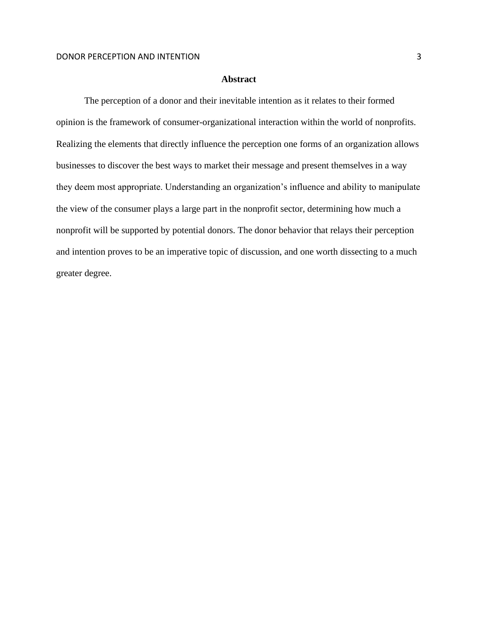## **Abstract**

The perception of a donor and their inevitable intention as it relates to their formed opinion is the framework of consumer-organizational interaction within the world of nonprofits. Realizing the elements that directly influence the perception one forms of an organization allows businesses to discover the best ways to market their message and present themselves in a way they deem most appropriate. Understanding an organization's influence and ability to manipulate the view of the consumer plays a large part in the nonprofit sector, determining how much a nonprofit will be supported by potential donors. The donor behavior that relays their perception and intention proves to be an imperative topic of discussion, and one worth dissecting to a much greater degree.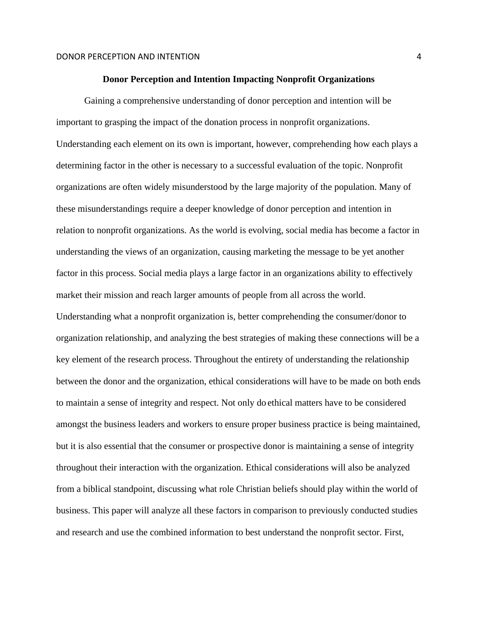#### **Donor Perception and Intention Impacting Nonprofit Organizations**

Gaining a comprehensive understanding of donor perception and intention will be important to grasping the impact of the donation process in nonprofit organizations. Understanding each element on its own is important, however, comprehending how each plays a determining factor in the other is necessary to a successful evaluation of the topic. Nonprofit organizations are often widely misunderstood by the large majority of the population. Many of these misunderstandings require a deeper knowledge of donor perception and intention in relation to nonprofit organizations. As the world is evolving, social media has become a factor in understanding the views of an organization, causing marketing the message to be yet another factor in this process. Social media plays a large factor in an organizations ability to effectively market their mission and reach larger amounts of people from all across the world. Understanding what a nonprofit organization is, better comprehending the consumer/donor to organization relationship, and analyzing the best strategies of making these connections will be a key element of the research process. Throughout the entirety of understanding the relationship between the donor and the organization, ethical considerations will have to be made on both ends to maintain a sense of integrity and respect. Not only do ethical matters have to be considered amongst the business leaders and workers to ensure proper business practice is being maintained, but it is also essential that the consumer or prospective donor is maintaining a sense of integrity throughout their interaction with the organization. Ethical considerations will also be analyzed from a biblical standpoint, discussing what role Christian beliefs should play within the world of business. This paper will analyze all these factors in comparison to previously conducted studies and research and use the combined information to best understand the nonprofit sector. First,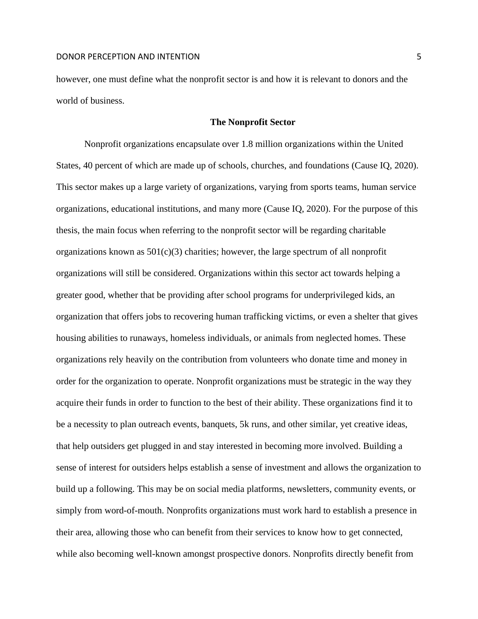however, one must define what the nonprofit sector is and how it is relevant to donors and the world of business.

### **The Nonprofit Sector**

Nonprofit organizations encapsulate over 1.8 million organizations within the United States, 40 percent of which are made up of schools, churches, and foundations (Cause IQ, 2020). This sector makes up a large variety of organizations, varying from sports teams, human service organizations, educational institutions, and many more (Cause IQ, 2020). For the purpose of this thesis, the main focus when referring to the nonprofit sector will be regarding charitable organizations known as  $501(c)(3)$  charities; however, the large spectrum of all nonprofit organizations will still be considered. Organizations within this sector act towards helping a greater good, whether that be providing after school programs for underprivileged kids, an organization that offers jobs to recovering human trafficking victims, or even a shelter that gives housing abilities to runaways, homeless individuals, or animals from neglected homes. These organizations rely heavily on the contribution from volunteers who donate time and money in order for the organization to operate. Nonprofit organizations must be strategic in the way they acquire their funds in order to function to the best of their ability. These organizations find it to be a necessity to plan outreach events, banquets, 5k runs, and other similar, yet creative ideas, that help outsiders get plugged in and stay interested in becoming more involved. Building a sense of interest for outsiders helps establish a sense of investment and allows the organization to build up a following. This may be on social media platforms, newsletters, community events, or simply from word-of-mouth. Nonprofits organizations must work hard to establish a presence in their area, allowing those who can benefit from their services to know how to get connected, while also becoming well-known amongst prospective donors. Nonprofits directly benefit from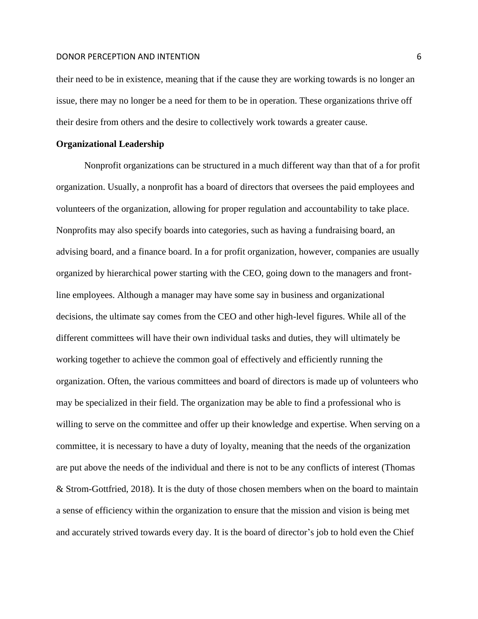their need to be in existence, meaning that if the cause they are working towards is no longer an issue, there may no longer be a need for them to be in operation. These organizations thrive off their desire from others and the desire to collectively work towards a greater cause.

## **Organizational Leadership**

Nonprofit organizations can be structured in a much different way than that of a for profit organization. Usually, a nonprofit has a board of directors that oversees the paid employees and volunteers of the organization, allowing for proper regulation and accountability to take place. Nonprofits may also specify boards into categories, such as having a fundraising board, an advising board, and a finance board. In a for profit organization, however, companies are usually organized by hierarchical power starting with the CEO, going down to the managers and frontline employees. Although a manager may have some say in business and organizational decisions, the ultimate say comes from the CEO and other high-level figures. While all of the different committees will have their own individual tasks and duties, they will ultimately be working together to achieve the common goal of effectively and efficiently running the organization. Often, the various committees and board of directors is made up of volunteers who may be specialized in their field. The organization may be able to find a professional who is willing to serve on the committee and offer up their knowledge and expertise. When serving on a committee, it is necessary to have a duty of loyalty, meaning that the needs of the organization are put above the needs of the individual and there is not to be any conflicts of interest (Thomas & Strom-Gottfried, 2018). It is the duty of those chosen members when on the board to maintain a sense of efficiency within the organization to ensure that the mission and vision is being met and accurately strived towards every day. It is the board of director's job to hold even the Chief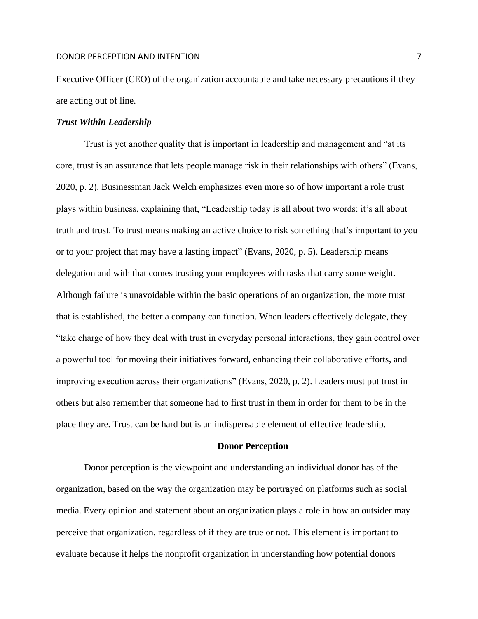Executive Officer (CEO) of the organization accountable and take necessary precautions if they are acting out of line.

## *Trust Within Leadership*

Trust is yet another quality that is important in leadership and management and "at its core, trust is an assurance that lets people manage risk in their relationships with others" (Evans, 2020, p. 2). Businessman Jack Welch emphasizes even more so of how important a role trust plays within business, explaining that, "Leadership today is all about two words: it's all about truth and trust. To trust means making an active choice to risk something that's important to you or to your project that may have a lasting impact" (Evans, 2020, p. 5). Leadership means delegation and with that comes trusting your employees with tasks that carry some weight. Although failure is unavoidable within the basic operations of an organization, the more trust that is established, the better a company can function. When leaders effectively delegate, they "take charge of how they deal with trust in everyday personal interactions, they gain control over a powerful tool for moving their initiatives forward, enhancing their collaborative efforts, and improving execution across their organizations" (Evans, 2020, p. 2). Leaders must put trust in others but also remember that someone had to first trust in them in order for them to be in the place they are. Trust can be hard but is an indispensable element of effective leadership.

#### **Donor Perception**

Donor perception is the viewpoint and understanding an individual donor has of the organization, based on the way the organization may be portrayed on platforms such as social media. Every opinion and statement about an organization plays a role in how an outsider may perceive that organization, regardless of if they are true or not. This element is important to evaluate because it helps the nonprofit organization in understanding how potential donors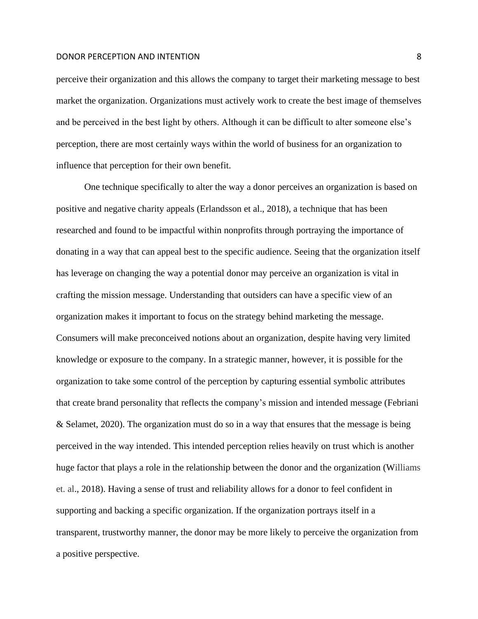perceive their organization and this allows the company to target their marketing message to best market the organization. Organizations must actively work to create the best image of themselves and be perceived in the best light by others. Although it can be difficult to alter someone else's perception, there are most certainly ways within the world of business for an organization to influence that perception for their own benefit.

One technique specifically to alter the way a donor perceives an organization is based on positive and negative charity appeals (Erlandsson et al., 2018), a technique that has been researched and found to be impactful within nonprofits through portraying the importance of donating in a way that can appeal best to the specific audience. Seeing that the organization itself has leverage on changing the way a potential donor may perceive an organization is vital in crafting the mission message. Understanding that outsiders can have a specific view of an organization makes it important to focus on the strategy behind marketing the message. Consumers will make preconceived notions about an organization, despite having very limited knowledge or exposure to the company. In a strategic manner, however, it is possible for the organization to take some control of the perception by capturing essential symbolic attributes that create brand personality that reflects the company's mission and intended message (Febriani & Selamet, 2020). The organization must do so in a way that ensures that the message is being perceived in the way intended. This intended perception relies heavily on trust which is another huge factor that plays a role in the relationship between the donor and the organization (Williams et. al., 2018). Having a sense of trust and reliability allows for a donor to feel confident in supporting and backing a specific organization. If the organization portrays itself in a transparent, trustworthy manner, the donor may be more likely to perceive the organization from a positive perspective.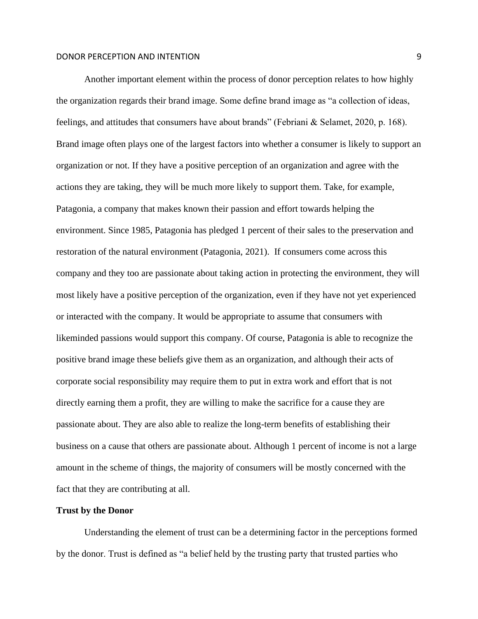Another important element within the process of donor perception relates to how highly the organization regards their brand image. Some define brand image as "a collection of ideas, feelings, and attitudes that consumers have about brands" (Febriani & Selamet, 2020, p. 168). Brand image often plays one of the largest factors into whether a consumer is likely to support an organization or not. If they have a positive perception of an organization and agree with the actions they are taking, they will be much more likely to support them. Take, for example, Patagonia, a company that makes known their passion and effort towards helping the environment. Since 1985, Patagonia has pledged 1 percent of their sales to the preservation and restoration of the natural environment (Patagonia*,* 2021). If consumers come across this company and they too are passionate about taking action in protecting the environment, they will most likely have a positive perception of the organization, even if they have not yet experienced or interacted with the company. It would be appropriate to assume that consumers with likeminded passions would support this company. Of course, Patagonia is able to recognize the positive brand image these beliefs give them as an organization, and although their acts of corporate social responsibility may require them to put in extra work and effort that is not directly earning them a profit, they are willing to make the sacrifice for a cause they are passionate about. They are also able to realize the long-term benefits of establishing their business on a cause that others are passionate about. Although 1 percent of income is not a large amount in the scheme of things, the majority of consumers will be mostly concerned with the fact that they are contributing at all.

### **Trust by the Donor**

Understanding the element of trust can be a determining factor in the perceptions formed by the donor. Trust is defined as "a belief held by the trusting party that trusted parties who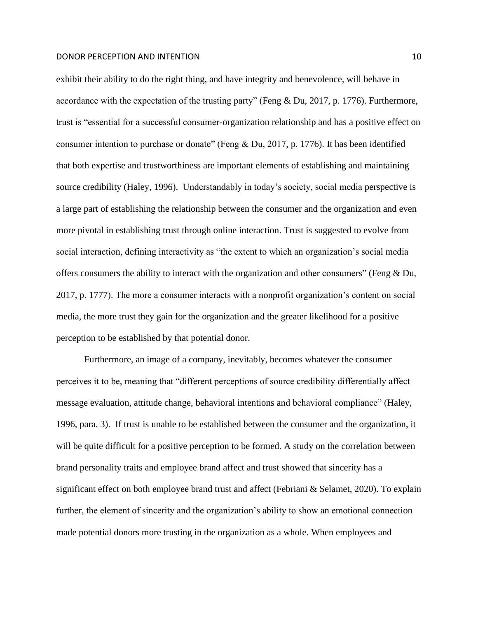exhibit their ability to do the right thing, and have integrity and benevolence, will behave in accordance with the expectation of the trusting party" (Feng & Du, 2017, p. 1776). Furthermore, trust is "essential for a successful consumer-organization relationship and has a positive effect on consumer intention to purchase or donate" (Feng & Du, 2017, p. 1776). It has been identified that both expertise and trustworthiness are important elements of establishing and maintaining source credibility (Haley, 1996). Understandably in today's society, social media perspective is a large part of establishing the relationship between the consumer and the organization and even more pivotal in establishing trust through online interaction. Trust is suggested to evolve from social interaction, defining interactivity as "the extent to which an organization's social media offers consumers the ability to interact with the organization and other consumers" (Feng & Du, 2017, p. 1777). The more a consumer interacts with a nonprofit organization's content on social media, the more trust they gain for the organization and the greater likelihood for a positive perception to be established by that potential donor.

Furthermore, an image of a company, inevitably, becomes whatever the consumer perceives it to be, meaning that "different perceptions of source credibility differentially affect message evaluation, attitude change, behavioral intentions and behavioral compliance" (Haley, 1996, para. 3). If trust is unable to be established between the consumer and the organization, it will be quite difficult for a positive perception to be formed. A study on the correlation between brand personality traits and employee brand affect and trust showed that sincerity has a significant effect on both employee brand trust and affect (Febriani & Selamet, 2020). To explain further, the element of sincerity and the organization's ability to show an emotional connection made potential donors more trusting in the organization as a whole. When employees and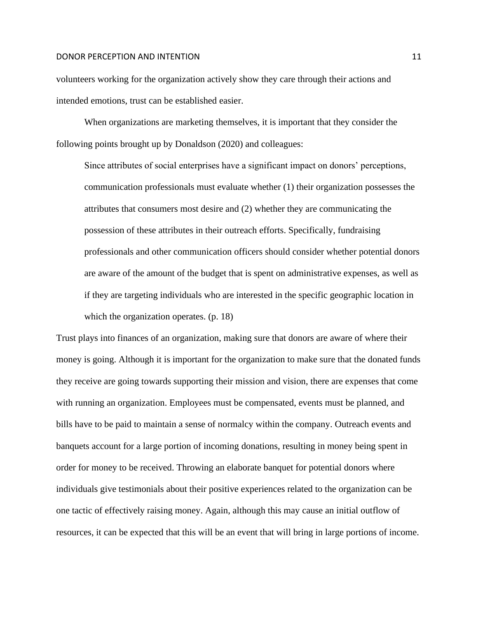volunteers working for the organization actively show they care through their actions and intended emotions, trust can be established easier.

When organizations are marketing themselves, it is important that they consider the following points brought up by Donaldson (2020) and colleagues:

Since attributes of social enterprises have a significant impact on donors' perceptions, communication professionals must evaluate whether (1) their organization possesses the attributes that consumers most desire and (2) whether they are communicating the possession of these attributes in their outreach efforts. Specifically, fundraising professionals and other communication officers should consider whether potential donors are aware of the amount of the budget that is spent on administrative expenses, as well as if they are targeting individuals who are interested in the specific geographic location in which the organization operates. (p. 18)

Trust plays into finances of an organization, making sure that donors are aware of where their money is going. Although it is important for the organization to make sure that the donated funds they receive are going towards supporting their mission and vision, there are expenses that come with running an organization. Employees must be compensated, events must be planned, and bills have to be paid to maintain a sense of normalcy within the company. Outreach events and banquets account for a large portion of incoming donations, resulting in money being spent in order for money to be received. Throwing an elaborate banquet for potential donors where individuals give testimonials about their positive experiences related to the organization can be one tactic of effectively raising money. Again, although this may cause an initial outflow of resources, it can be expected that this will be an event that will bring in large portions of income.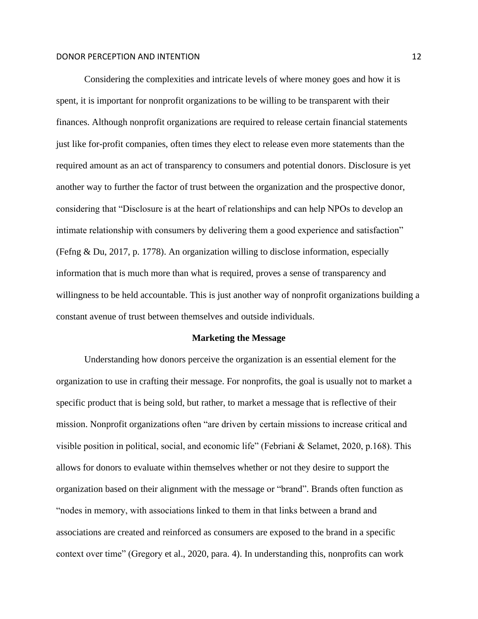Considering the complexities and intricate levels of where money goes and how it is spent, it is important for nonprofit organizations to be willing to be transparent with their finances. Although nonprofit organizations are required to release certain financial statements just like for-profit companies, often times they elect to release even more statements than the required amount as an act of transparency to consumers and potential donors. Disclosure is yet another way to further the factor of trust between the organization and the prospective donor, considering that "Disclosure is at the heart of relationships and can help NPOs to develop an intimate relationship with consumers by delivering them a good experience and satisfaction" (Fefng & Du, 2017, p. 1778). An organization willing to disclose information, especially information that is much more than what is required, proves a sense of transparency and willingness to be held accountable. This is just another way of nonprofit organizations building a constant avenue of trust between themselves and outside individuals.

#### **Marketing the Message**

Understanding how donors perceive the organization is an essential element for the organization to use in crafting their message. For nonprofits, the goal is usually not to market a specific product that is being sold, but rather, to market a message that is reflective of their mission. Nonprofit organizations often "are driven by certain missions to increase critical and visible position in political, social, and economic life" (Febriani & Selamet, 2020, p.168). This allows for donors to evaluate within themselves whether or not they desire to support the organization based on their alignment with the message or "brand". Brands often function as "nodes in memory, with associations linked to them in that links between a brand and associations are created and reinforced as consumers are exposed to the brand in a specific context over time" (Gregory et al., 2020, para. 4). In understanding this, nonprofits can work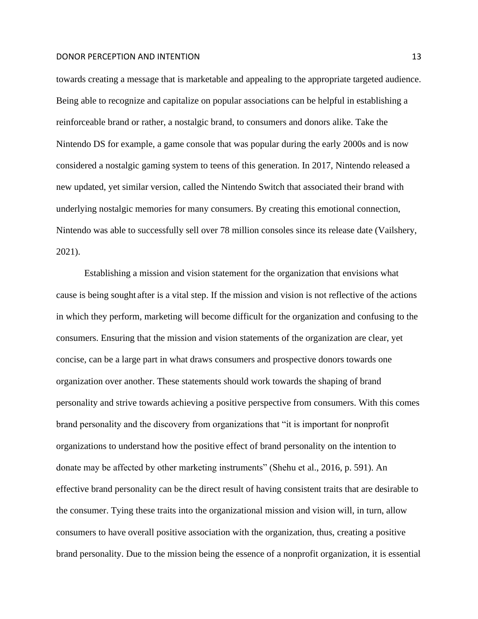towards creating a message that is marketable and appealing to the appropriate targeted audience. Being able to recognize and capitalize on popular associations can be helpful in establishing a reinforceable brand or rather, a nostalgic brand, to consumers and donors alike. Take the Nintendo DS for example, a game console that was popular during the early 2000s and is now considered a nostalgic gaming system to teens of this generation. In 2017, Nintendo released a new updated, yet similar version, called the Nintendo Switch that associated their brand with underlying nostalgic memories for many consumers. By creating this emotional connection, Nintendo was able to successfully sell over 78 million consoles since its release date (Vailshery, 2021).

Establishing a mission and vision statement for the organization that envisions what cause is being sought after is a vital step. If the mission and vision is not reflective of the actions in which they perform, marketing will become difficult for the organization and confusing to the consumers. Ensuring that the mission and vision statements of the organization are clear, yet concise, can be a large part in what draws consumers and prospective donors towards one organization over another. These statements should work towards the shaping of brand personality and strive towards achieving a positive perspective from consumers. With this comes brand personality and the discovery from organizations that "it is important for nonprofit organizations to understand how the positive effect of brand personality on the intention to donate may be affected by other marketing instruments" (Shehu et al., 2016, p. 591). An effective brand personality can be the direct result of having consistent traits that are desirable to the consumer. Tying these traits into the organizational mission and vision will, in turn, allow consumers to have overall positive association with the organization, thus, creating a positive brand personality. Due to the mission being the essence of a nonprofit organization, it is essential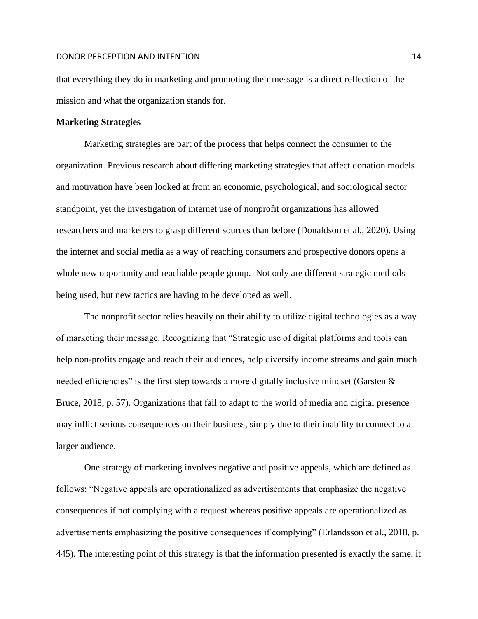that everything they do in marketing and promoting their message is a direct reflection of the mission and what the organization stands for.

### **Marketing Strategies**

Marketing strategies are part of the process that helps connect the consumer to the organization. Previous research about differing marketing strategies that affect donation models and motivation have been looked at from an economic, psychological, and sociological sector standpoint, yet the investigation of internet use of nonprofit organizations has allowed researchers and marketers to grasp different sources than before (Donaldson et al., 2020). Using the internet and social media as a way of reaching consumers and prospective donors opens a whole new opportunity and reachable people group. Not only are different strategic methods being used, but new tactics are having to be developed as well.

The nonprofit sector relies heavily on their ability to utilize digital technologies as a way of marketing their message. Recognizing that "Strategic use of digital platforms and tools can help non-profits engage and reach their audiences, help diversify income streams and gain much needed efficiencies" is the first step towards a more digitally inclusive mindset (Garsten  $\&$ Bruce, 2018, p. 57). Organizations that fail to adapt to the world of media and digital presence may inflict serious consequences on their business, simply due to their inability to connect to a larger audience.

One strategy of marketing involves negative and positive appeals, which are defined as follows: "Negative appeals are operationalized as advertisements that emphasize the negative consequences if not complying with a request whereas positive appeals are operationalized as advertisements emphasizing the positive consequences if complying" (Erlandsson et al., 2018, p. 445). The interesting point of this strategy is that the information presented is exactly the same, it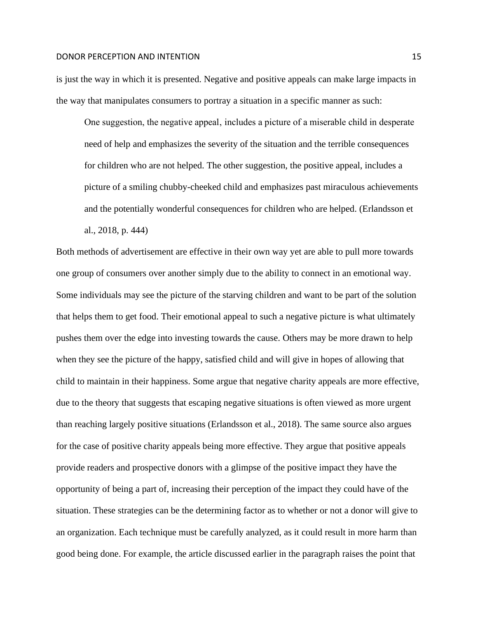is just the way in which it is presented. Negative and positive appeals can make large impacts in the way that manipulates consumers to portray a situation in a specific manner as such:

One suggestion, the negative appeal, includes a picture of a miserable child in desperate need of help and emphasizes the severity of the situation and the terrible consequences for children who are not helped. The other suggestion, the positive appeal, includes a picture of a smiling chubby-cheeked child and emphasizes past miraculous achievements and the potentially wonderful consequences for children who are helped. (Erlandsson et al., 2018, p. 444)

Both methods of advertisement are effective in their own way yet are able to pull more towards one group of consumers over another simply due to the ability to connect in an emotional way. Some individuals may see the picture of the starving children and want to be part of the solution that helps them to get food. Their emotional appeal to such a negative picture is what ultimately pushes them over the edge into investing towards the cause. Others may be more drawn to help when they see the picture of the happy, satisfied child and will give in hopes of allowing that child to maintain in their happiness. Some argue that negative charity appeals are more effective, due to the theory that suggests that escaping negative situations is often viewed as more urgent than reaching largely positive situations (Erlandsson et al., 2018). The same source also argues for the case of positive charity appeals being more effective. They argue that positive appeals provide readers and prospective donors with a glimpse of the positive impact they have the opportunity of being a part of, increasing their perception of the impact they could have of the situation. These strategies can be the determining factor as to whether or not a donor will give to an organization. Each technique must be carefully analyzed, as it could result in more harm than good being done. For example, the article discussed earlier in the paragraph raises the point that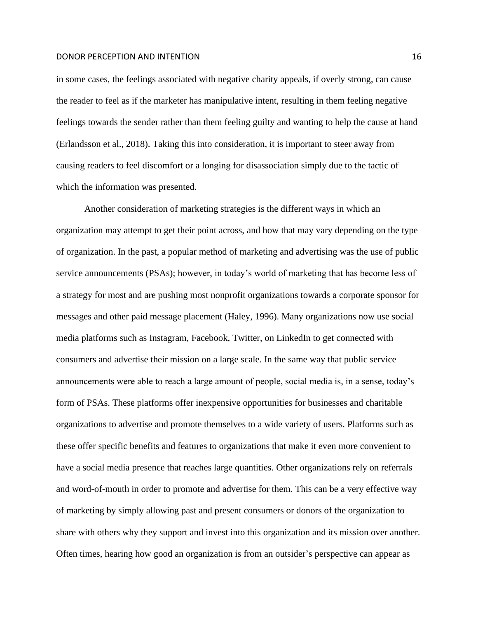in some cases, the feelings associated with negative charity appeals, if overly strong, can cause the reader to feel as if the marketer has manipulative intent, resulting in them feeling negative feelings towards the sender rather than them feeling guilty and wanting to help the cause at hand (Erlandsson et al., 2018). Taking this into consideration, it is important to steer away from causing readers to feel discomfort or a longing for disassociation simply due to the tactic of which the information was presented.

Another consideration of marketing strategies is the different ways in which an organization may attempt to get their point across, and how that may vary depending on the type of organization. In the past, a popular method of marketing and advertising was the use of public service announcements (PSAs); however, in today's world of marketing that has become less of a strategy for most and are pushing most nonprofit organizations towards a corporate sponsor for messages and other paid message placement (Haley, 1996). Many organizations now use social media platforms such as Instagram, Facebook, Twitter, on LinkedIn to get connected with consumers and advertise their mission on a large scale. In the same way that public service announcements were able to reach a large amount of people, social media is, in a sense, today's form of PSAs. These platforms offer inexpensive opportunities for businesses and charitable organizations to advertise and promote themselves to a wide variety of users. Platforms such as these offer specific benefits and features to organizations that make it even more convenient to have a social media presence that reaches large quantities. Other organizations rely on referrals and word-of-mouth in order to promote and advertise for them. This can be a very effective way of marketing by simply allowing past and present consumers or donors of the organization to share with others why they support and invest into this organization and its mission over another. Often times, hearing how good an organization is from an outsider's perspective can appear as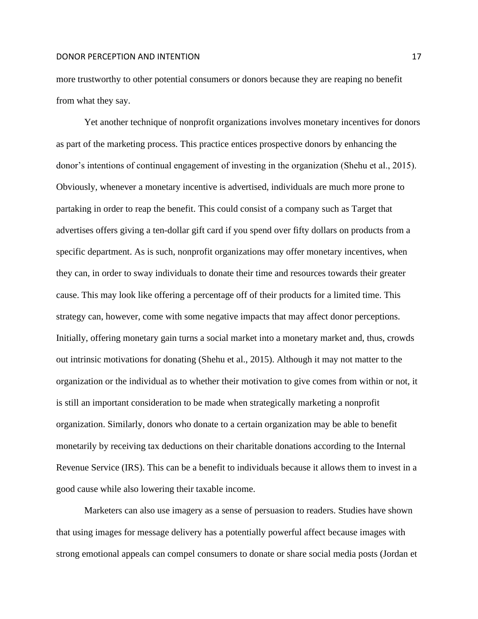more trustworthy to other potential consumers or donors because they are reaping no benefit from what they say.

Yet another technique of nonprofit organizations involves monetary incentives for donors as part of the marketing process. This practice entices prospective donors by enhancing the donor's intentions of continual engagement of investing in the organization (Shehu et al., 2015). Obviously, whenever a monetary incentive is advertised, individuals are much more prone to partaking in order to reap the benefit. This could consist of a company such as Target that advertises offers giving a ten-dollar gift card if you spend over fifty dollars on products from a specific department. As is such, nonprofit organizations may offer monetary incentives, when they can, in order to sway individuals to donate their time and resources towards their greater cause. This may look like offering a percentage off of their products for a limited time. This strategy can, however, come with some negative impacts that may affect donor perceptions. Initially, offering monetary gain turns a social market into a monetary market and, thus, crowds out intrinsic motivations for donating (Shehu et al., 2015). Although it may not matter to the organization or the individual as to whether their motivation to give comes from within or not, it is still an important consideration to be made when strategically marketing a nonprofit organization. Similarly, donors who donate to a certain organization may be able to benefit monetarily by receiving tax deductions on their charitable donations according to the Internal Revenue Service (IRS). This can be a benefit to individuals because it allows them to invest in a good cause while also lowering their taxable income.

Marketers can also use imagery as a sense of persuasion to readers. Studies have shown that using images for message delivery has a potentially powerful affect because images with strong emotional appeals can compel consumers to donate or share social media posts (Jordan et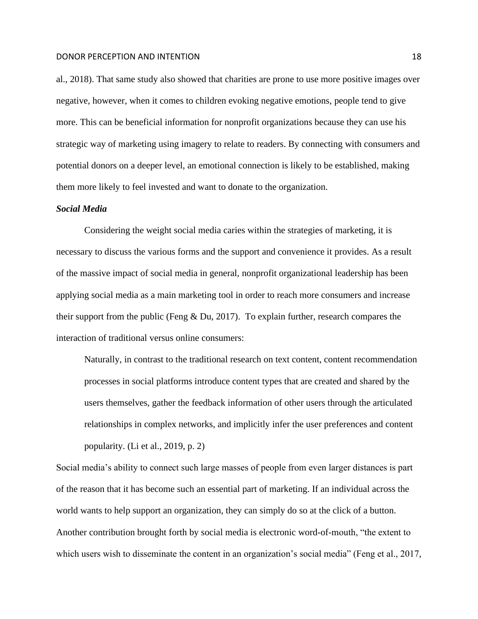al., 2018). That same study also showed that charities are prone to use more positive images over negative, however, when it comes to children evoking negative emotions, people tend to give more. This can be beneficial information for nonprofit organizations because they can use his strategic way of marketing using imagery to relate to readers. By connecting with consumers and potential donors on a deeper level, an emotional connection is likely to be established, making them more likely to feel invested and want to donate to the organization.

## *Social Media*

Considering the weight social media caries within the strategies of marketing, it is necessary to discuss the various forms and the support and convenience it provides. As a result of the massive impact of social media in general, nonprofit organizational leadership has been applying social media as a main marketing tool in order to reach more consumers and increase their support from the public (Feng & Du, 2017). To explain further, research compares the interaction of traditional versus online consumers:

Naturally, in contrast to the traditional research on text content, content recommendation processes in social platforms introduce content types that are created and shared by the users themselves, gather the feedback information of other users through the articulated relationships in complex networks, and implicitly infer the user preferences and content popularity. (Li et al., 2019, p. 2)

Social media's ability to connect such large masses of people from even larger distances is part of the reason that it has become such an essential part of marketing. If an individual across the world wants to help support an organization, they can simply do so at the click of a button. Another contribution brought forth by social media is electronic word-of-mouth, "the extent to which users wish to disseminate the content in an organization's social media" (Feng et al., 2017,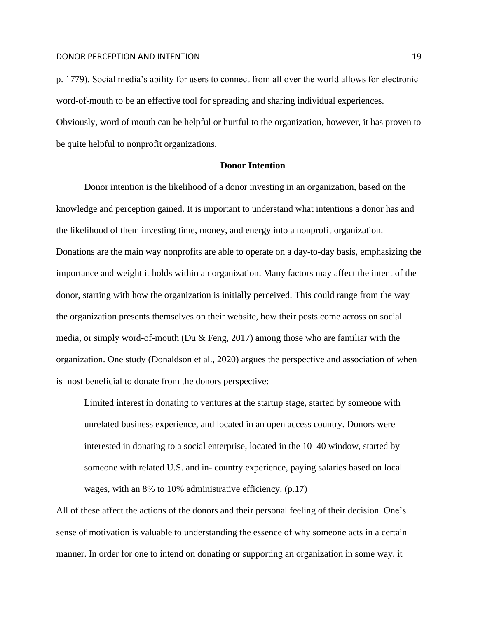p. 1779). Social media's ability for users to connect from all over the world allows for electronic word-of-mouth to be an effective tool for spreading and sharing individual experiences. Obviously, word of mouth can be helpful or hurtful to the organization, however, it has proven to be quite helpful to nonprofit organizations.

#### **Donor Intention**

Donor intention is the likelihood of a donor investing in an organization, based on the knowledge and perception gained. It is important to understand what intentions a donor has and the likelihood of them investing time, money, and energy into a nonprofit organization. Donations are the main way nonprofits are able to operate on a day-to-day basis, emphasizing the importance and weight it holds within an organization. Many factors may affect the intent of the donor, starting with how the organization is initially perceived. This could range from the way the organization presents themselves on their website, how their posts come across on social media, or simply word-of-mouth (Du & Feng, 2017) among those who are familiar with the organization. One study (Donaldson et al., 2020) argues the perspective and association of when is most beneficial to donate from the donors perspective:

Limited interest in donating to ventures at the startup stage, started by someone with unrelated business experience, and located in an open access country. Donors were interested in donating to a social enterprise, located in the 10–40 window, started by someone with related U.S. and in- country experience, paying salaries based on local wages, with an 8% to 10% administrative efficiency. (p.17)

All of these affect the actions of the donors and their personal feeling of their decision. One's sense of motivation is valuable to understanding the essence of why someone acts in a certain manner. In order for one to intend on donating or supporting an organization in some way, it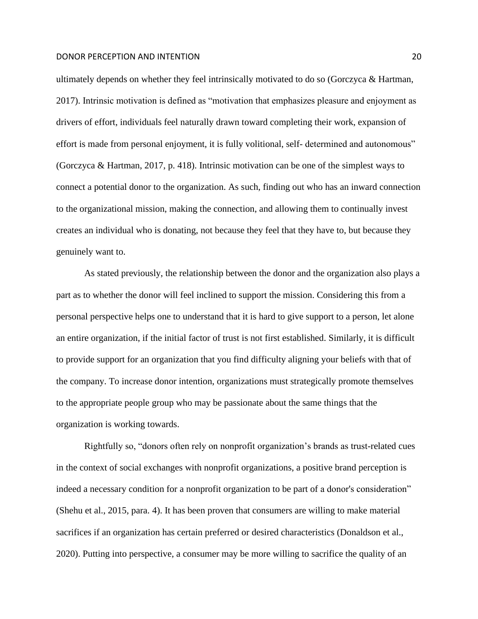ultimately depends on whether they feel intrinsically motivated to do so (Gorczyca & Hartman, 2017). Intrinsic motivation is defined as "motivation that emphasizes pleasure and enjoyment as drivers of effort, individuals feel naturally drawn toward completing their work, expansion of effort is made from personal enjoyment, it is fully volitional, self- determined and autonomous" (Gorczyca & Hartman, 2017, p. 418). Intrinsic motivation can be one of the simplest ways to connect a potential donor to the organization. As such, finding out who has an inward connection to the organizational mission, making the connection, and allowing them to continually invest creates an individual who is donating, not because they feel that they have to, but because they genuinely want to.

As stated previously, the relationship between the donor and the organization also plays a part as to whether the donor will feel inclined to support the mission. Considering this from a personal perspective helps one to understand that it is hard to give support to a person, let alone an entire organization, if the initial factor of trust is not first established. Similarly, it is difficult to provide support for an organization that you find difficulty aligning your beliefs with that of the company. To increase donor intention, organizations must strategically promote themselves to the appropriate people group who may be passionate about the same things that the organization is working towards.

Rightfully so, "donors often rely on nonprofit organization's brands as trust-related cues in the context of social exchanges with nonprofit organizations, a positive brand perception is indeed a necessary condition for a nonprofit organization to be part of a donor's consideration" (Shehu et al., 2015, para. 4). It has been proven that consumers are willing to make material sacrifices if an organization has certain preferred or desired characteristics (Donaldson et al., 2020). Putting into perspective, a consumer may be more willing to sacrifice the quality of an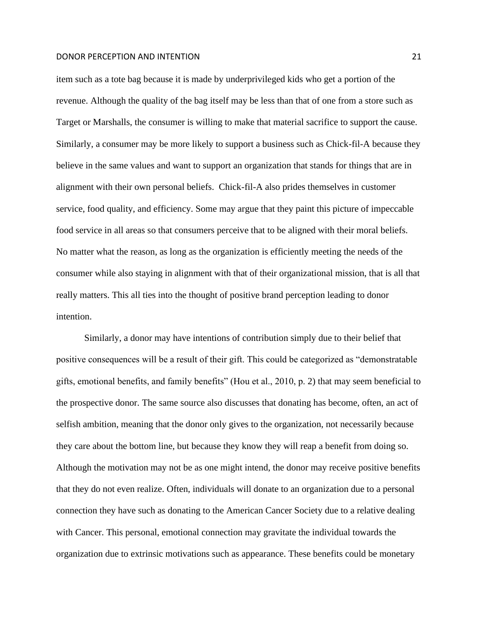item such as a tote bag because it is made by underprivileged kids who get a portion of the revenue. Although the quality of the bag itself may be less than that of one from a store such as Target or Marshalls, the consumer is willing to make that material sacrifice to support the cause. Similarly, a consumer may be more likely to support a business such as Chick-fil-A because they believe in the same values and want to support an organization that stands for things that are in alignment with their own personal beliefs. Chick-fil-A also prides themselves in customer service, food quality, and efficiency. Some may argue that they paint this picture of impeccable food service in all areas so that consumers perceive that to be aligned with their moral beliefs. No matter what the reason, as long as the organization is efficiently meeting the needs of the consumer while also staying in alignment with that of their organizational mission, that is all that really matters. This all ties into the thought of positive brand perception leading to donor intention.

Similarly, a donor may have intentions of contribution simply due to their belief that positive consequences will be a result of their gift. This could be categorized as "demonstratable gifts, emotional benefits, and family benefits" (Hou et al., 2010, p. 2) that may seem beneficial to the prospective donor. The same source also discusses that donating has become, often, an act of selfish ambition, meaning that the donor only gives to the organization, not necessarily because they care about the bottom line, but because they know they will reap a benefit from doing so. Although the motivation may not be as one might intend, the donor may receive positive benefits that they do not even realize. Often, individuals will donate to an organization due to a personal connection they have such as donating to the American Cancer Society due to a relative dealing with Cancer. This personal, emotional connection may gravitate the individual towards the organization due to extrinsic motivations such as appearance. These benefits could be monetary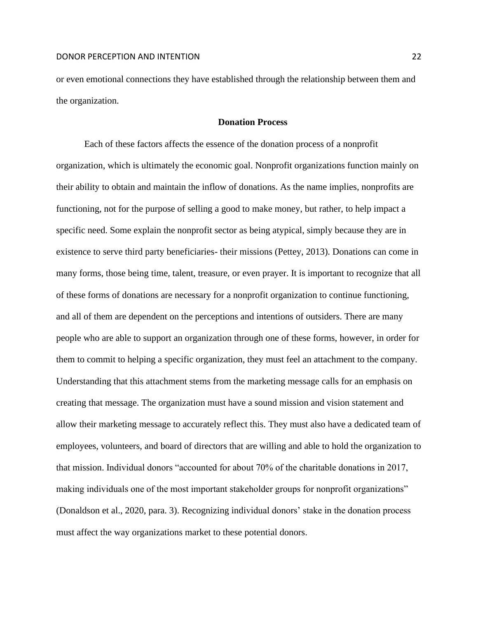or even emotional connections they have established through the relationship between them and the organization.

#### **Donation Process**

Each of these factors affects the essence of the donation process of a nonprofit organization, which is ultimately the economic goal. Nonprofit organizations function mainly on their ability to obtain and maintain the inflow of donations. As the name implies, nonprofits are functioning, not for the purpose of selling a good to make money, but rather, to help impact a specific need. Some explain the nonprofit sector as being atypical, simply because they are in existence to serve third party beneficiaries- their missions (Pettey, 2013). Donations can come in many forms, those being time, talent, treasure, or even prayer. It is important to recognize that all of these forms of donations are necessary for a nonprofit organization to continue functioning, and all of them are dependent on the perceptions and intentions of outsiders. There are many people who are able to support an organization through one of these forms, however, in order for them to commit to helping a specific organization, they must feel an attachment to the company. Understanding that this attachment stems from the marketing message calls for an emphasis on creating that message. The organization must have a sound mission and vision statement and allow their marketing message to accurately reflect this. They must also have a dedicated team of employees, volunteers, and board of directors that are willing and able to hold the organization to that mission. Individual donors "accounted for about 70% of the charitable donations in 2017, making individuals one of the most important stakeholder groups for nonprofit organizations" (Donaldson et al., 2020, para. 3). Recognizing individual donors' stake in the donation process must affect the way organizations market to these potential donors.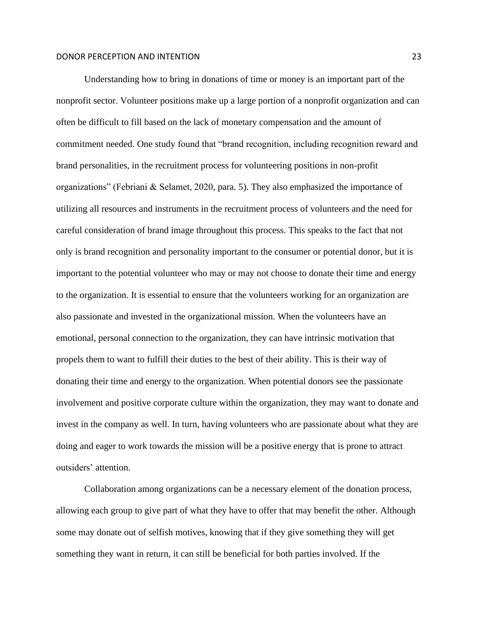Understanding how to bring in donations of time or money is an important part of the nonprofit sector. Volunteer positions make up a large portion of a nonprofit organization and can often be difficult to fill based on the lack of monetary compensation and the amount of commitment needed. One study found that "brand recognition, including recognition reward and brand personalities, in the recruitment process for volunteering positions in non-profit organizations" (Febriani & Selamet, 2020, para. 5). They also emphasized the importance of utilizing all resources and instruments in the recruitment process of volunteers and the need for careful consideration of brand image throughout this process. This speaks to the fact that not only is brand recognition and personality important to the consumer or potential donor, but it is important to the potential volunteer who may or may not choose to donate their time and energy to the organization. It is essential to ensure that the volunteers working for an organization are also passionate and invested in the organizational mission. When the volunteers have an emotional, personal connection to the organization, they can have intrinsic motivation that propels them to want to fulfill their duties to the best of their ability. This is their way of donating their time and energy to the organization. When potential donors see the passionate involvement and positive corporate culture within the organization, they may want to donate and invest in the company as well. In turn, having volunteers who are passionate about what they are doing and eager to work towards the mission will be a positive energy that is prone to attract outsiders' attention.

Collaboration among organizations can be a necessary element of the donation process, allowing each group to give part of what they have to offer that may benefit the other. Although some may donate out of selfish motives, knowing that if they give something they will get something they want in return, it can still be beneficial for both parties involved. If the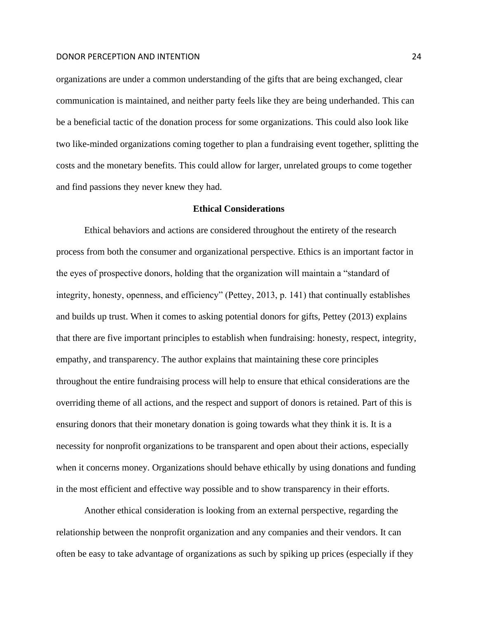organizations are under a common understanding of the gifts that are being exchanged, clear communication is maintained, and neither party feels like they are being underhanded. This can be a beneficial tactic of the donation process for some organizations. This could also look like two like-minded organizations coming together to plan a fundraising event together, splitting the costs and the monetary benefits. This could allow for larger, unrelated groups to come together and find passions they never knew they had.

#### **Ethical Considerations**

Ethical behaviors and actions are considered throughout the entirety of the research process from both the consumer and organizational perspective. Ethics is an important factor in the eyes of prospective donors, holding that the organization will maintain a "standard of integrity, honesty, openness, and efficiency" (Pettey, 2013, p. 141) that continually establishes and builds up trust. When it comes to asking potential donors for gifts, Pettey (2013) explains that there are five important principles to establish when fundraising: honesty, respect, integrity, empathy, and transparency. The author explains that maintaining these core principles throughout the entire fundraising process will help to ensure that ethical considerations are the overriding theme of all actions, and the respect and support of donors is retained. Part of this is ensuring donors that their monetary donation is going towards what they think it is. It is a necessity for nonprofit organizations to be transparent and open about their actions, especially when it concerns money. Organizations should behave ethically by using donations and funding in the most efficient and effective way possible and to show transparency in their efforts.

Another ethical consideration is looking from an external perspective, regarding the relationship between the nonprofit organization and any companies and their vendors. It can often be easy to take advantage of organizations as such by spiking up prices (especially if they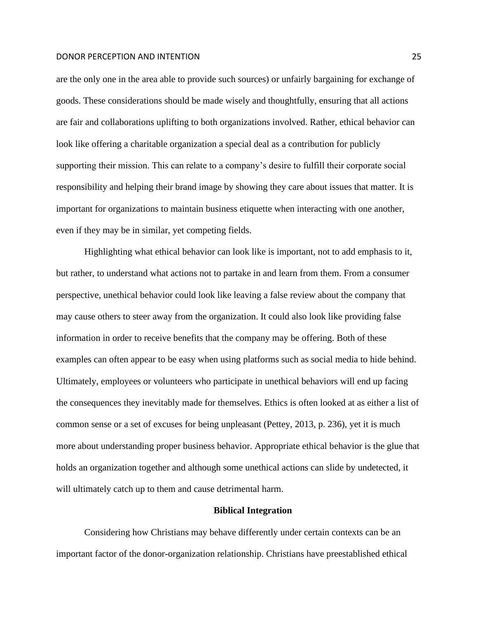are the only one in the area able to provide such sources) or unfairly bargaining for exchange of goods. These considerations should be made wisely and thoughtfully, ensuring that all actions are fair and collaborations uplifting to both organizations involved. Rather, ethical behavior can look like offering a charitable organization a special deal as a contribution for publicly supporting their mission. This can relate to a company's desire to fulfill their corporate social responsibility and helping their brand image by showing they care about issues that matter. It is important for organizations to maintain business etiquette when interacting with one another, even if they may be in similar, yet competing fields.

Highlighting what ethical behavior can look like is important, not to add emphasis to it, but rather, to understand what actions not to partake in and learn from them. From a consumer perspective, unethical behavior could look like leaving a false review about the company that may cause others to steer away from the organization. It could also look like providing false information in order to receive benefits that the company may be offering. Both of these examples can often appear to be easy when using platforms such as social media to hide behind. Ultimately, employees or volunteers who participate in unethical behaviors will end up facing the consequences they inevitably made for themselves. Ethics is often looked at as either a list of common sense or a set of excuses for being unpleasant (Pettey, 2013, p. 236), yet it is much more about understanding proper business behavior. Appropriate ethical behavior is the glue that holds an organization together and although some unethical actions can slide by undetected, it will ultimately catch up to them and cause detrimental harm.

### **Biblical Integration**

Considering how Christians may behave differently under certain contexts can be an important factor of the donor-organization relationship. Christians have preestablished ethical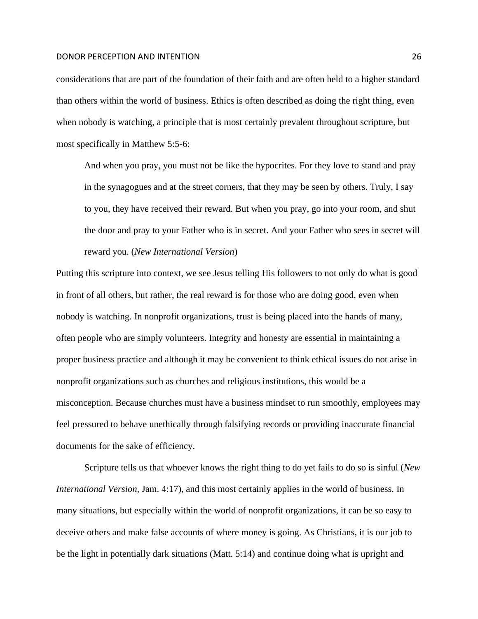considerations that are part of the foundation of their faith and are often held to a higher standard than others within the world of business. Ethics is often described as doing the right thing, even when nobody is watching, a principle that is most certainly prevalent throughout scripture, but most specifically in Matthew 5:5-6:

And when you pray, you must not be like the hypocrites. For they love to stand and pray in the synagogues and at the street corners, that they may be seen by others. Truly, I say to you, they have received their reward. But when you pray, go into your room, and shut the door and pray to your Father who is in secret. And your Father who sees in secret will reward you. (*New International Version*)

Putting this scripture into context, we see Jesus telling His followers to not only do what is good in front of all others, but rather, the real reward is for those who are doing good, even when nobody is watching. In nonprofit organizations, trust is being placed into the hands of many, often people who are simply volunteers. Integrity and honesty are essential in maintaining a proper business practice and although it may be convenient to think ethical issues do not arise in nonprofit organizations such as churches and religious institutions, this would be a misconception. Because churches must have a business mindset to run smoothly, employees may feel pressured to behave unethically through falsifying records or providing inaccurate financial documents for the sake of efficiency.

Scripture tells us that whoever knows the right thing to do yet fails to do so is sinful (*New International Version,* Jam. 4:17), and this most certainly applies in the world of business. In many situations, but especially within the world of nonprofit organizations, it can be so easy to deceive others and make false accounts of where money is going. As Christians, it is our job to be the light in potentially dark situations (Matt. 5:14) and continue doing what is upright and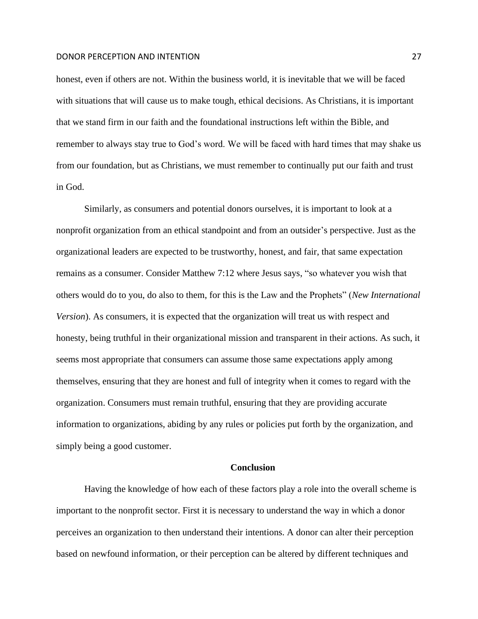honest, even if others are not. Within the business world, it is inevitable that we will be faced with situations that will cause us to make tough, ethical decisions. As Christians, it is important that we stand firm in our faith and the foundational instructions left within the Bible, and remember to always stay true to God's word. We will be faced with hard times that may shake us from our foundation, but as Christians, we must remember to continually put our faith and trust in God.

Similarly, as consumers and potential donors ourselves, it is important to look at a nonprofit organization from an ethical standpoint and from an outsider's perspective. Just as the organizational leaders are expected to be trustworthy, honest, and fair, that same expectation remains as a consumer. Consider Matthew 7:12 where Jesus says, "so whatever you wish that others would do to you, do also to them, for this is the Law and the Prophets" (*New International Version*). As consumers, it is expected that the organization will treat us with respect and honesty, being truthful in their organizational mission and transparent in their actions. As such, it seems most appropriate that consumers can assume those same expectations apply among themselves, ensuring that they are honest and full of integrity when it comes to regard with the organization. Consumers must remain truthful, ensuring that they are providing accurate information to organizations, abiding by any rules or policies put forth by the organization, and simply being a good customer.

#### **Conclusion**

Having the knowledge of how each of these factors play a role into the overall scheme is important to the nonprofit sector. First it is necessary to understand the way in which a donor perceives an organization to then understand their intentions. A donor can alter their perception based on newfound information, or their perception can be altered by different techniques and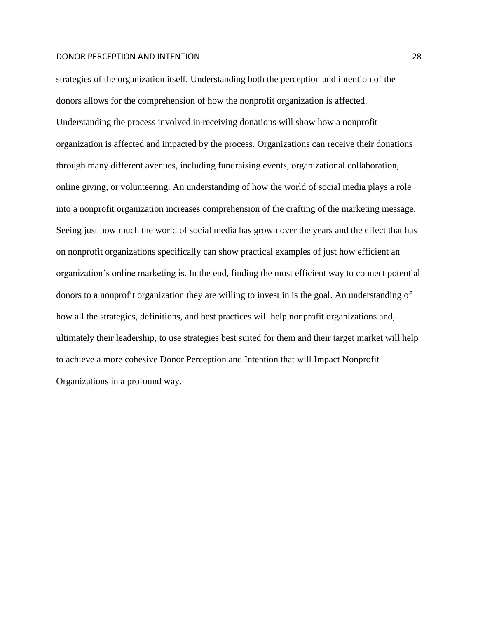strategies of the organization itself. Understanding both the perception and intention of the donors allows for the comprehension of how the nonprofit organization is affected. Understanding the process involved in receiving donations will show how a nonprofit organization is affected and impacted by the process. Organizations can receive their donations through many different avenues, including fundraising events, organizational collaboration, online giving, or volunteering. An understanding of how the world of social media plays a role into a nonprofit organization increases comprehension of the crafting of the marketing message. Seeing just how much the world of social media has grown over the years and the effect that has on nonprofit organizations specifically can show practical examples of just how efficient an organization's online marketing is. In the end, finding the most efficient way to connect potential donors to a nonprofit organization they are willing to invest in is the goal. An understanding of how all the strategies, definitions, and best practices will help nonprofit organizations and, ultimately their leadership, to use strategies best suited for them and their target market will help to achieve a more cohesive Donor Perception and Intention that will Impact Nonprofit Organizations in a profound way.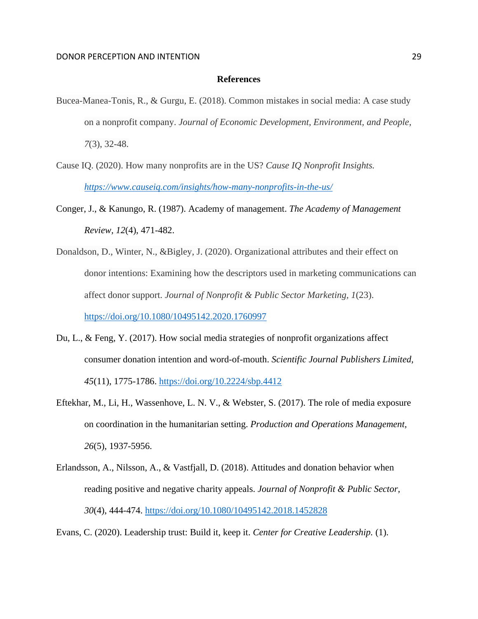### **References**

- Bucea-Manea-Tonis, R., & Gurgu, E. (2018). Common mistakes in social media: A case study on a nonprofit company. *Journal of Economic Development, Environment, and People, 7*(3), 32-48.
- Cause IQ. (2020). How many nonprofits are in the US? *Cause IQ Nonprofit Insights. <https://www.causeiq.com/insights/how-many-nonprofits-in-the-us/>*
- Conger, J., & Kanungo, R. (1987). Academy of management. *The Academy of Management Review, 12*(4), 471-482.
- Donaldson, D., Winter, N., &Bigley, J. (2020). Organizational attributes and their effect on donor intentions: Examining how the descriptors used in marketing communications can affect donor support. *Journal of Nonprofit & Public Sector Marketing, 1*(23). <https://doi.org/10.1080/10495142.2020.1760997>
- Du, L., & Feng, Y. (2017). How social media strategies of nonprofit organizations affect consumer donation intention and word-of-mouth. *Scientific Journal Publishers Limited, 45*(11), 1775-1786.<https://doi.org/10.2224/sbp.4412>
- Eftekhar, M., Li, H., Wassenhove, L. N. V., & Webster, S. (2017). The role of media exposure on coordination in the humanitarian setting. *Production and Operations Management, 26*(5), 1937-5956.
- Erlandsson, A., Nilsson, A., & Vastfjall, D. (2018). Attitudes and donation behavior when reading positive and negative charity appeals. *Journal of Nonprofit & Public Sector, 30*(4), 444-474.<https://doi.org/10.1080/10495142.2018.1452828>
- Evans, C. (2020). Leadership trust: Build it, keep it. *Center for Creative Leadership.* (1).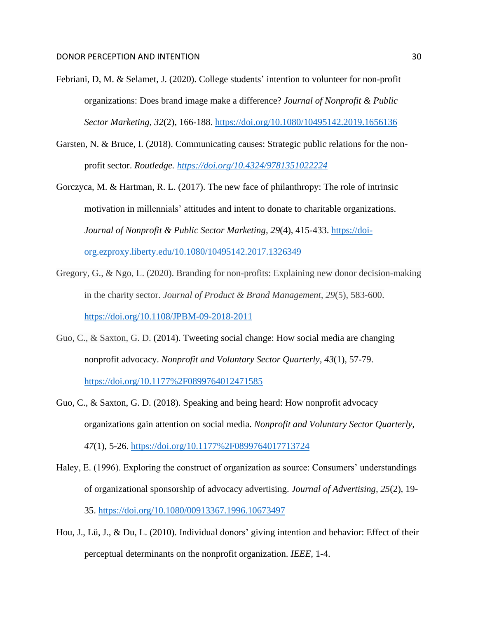- Febriani, D, M. & Selamet, J. (2020). College students' intention to volunteer for non-profit organizations: Does brand image make a difference? *Journal of Nonprofit & Public Sector Marketing, 32*(2), 166-188.<https://doi.org/10.1080/10495142.2019.1656136>
- Garsten, N. & Bruce, I. (2018). Communicating causes: Strategic public relations for the nonprofit sector. *Routledge.<https://doi.org/10.4324/9781351022224>*
- Gorczyca, M. & Hartman, R. L. (2017). The new face of philanthropy: The role of intrinsic motivation in millennials' attitudes and intent to donate to charitable organizations. *Journal of Nonprofit & Public Sector Marketing, 29*(4), 415-433. [https://doi](https://doi-org.ezproxy.liberty.edu/10.1080/10495142.2017.1326349)[org.ezproxy.liberty.edu/10.1080/10495142.2017.1326349](https://doi-org.ezproxy.liberty.edu/10.1080/10495142.2017.1326349)
- Gregory, G., & Ngo, L. (2020). Branding for non-profits: Explaining new donor decision-making in the charity sector. *Journal of Product & Brand Management, 29*(5), 583-600. <https://doi.org/10.1108/JPBM-09-2018-2011>
- Guo, C., & Saxton, G. D. (2014). Tweeting social change: How social media are changing nonprofit advocacy. *Nonprofit and Voluntary Sector Quarterly, 43*(1), 57-79. <https://doi.org/10.1177%2F0899764012471585>
- Guo, C., & Saxton, G. D. (2018). Speaking and being heard: How nonprofit advocacy organizations gain attention on social media. *Nonprofit and Voluntary Sector Quarterly, 47*(1), 5-26.<https://doi.org/10.1177%2F0899764017713724>
- Haley, E. (1996). Exploring the construct of organization as source: Consumers' understandings of organizational sponsorship of advocacy advertising. *Journal of Advertising, 25*(2), 19- 35.<https://doi.org/10.1080/00913367.1996.10673497>
- Hou, J., Lü, J., & Du, L. (2010). Individual donors' giving intention and behavior: Effect of their perceptual determinants on the nonprofit organization. *IEEE,* 1-4.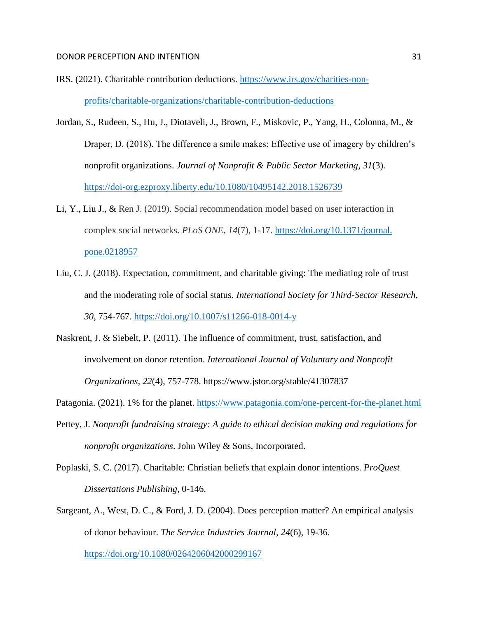- IRS. (2021). Charitable contribution deductions. [https://www.irs.gov/charities-non](https://www.irs.gov/charities-non-profits/charitable-organizations/charitable-contribution-deductions)[profits/charitable-organizations/charitable-contribution-deductions](https://www.irs.gov/charities-non-profits/charitable-organizations/charitable-contribution-deductions)
- Jordan, S., Rudeen, S., Hu, J., Diotaveli, J., Brown, F., Miskovic, P., Yang, H., Colonna, M., & Draper, D. (2018). The difference a smile makes: Effective use of imagery by children's nonprofit organizations. *Journal of Nonprofit & Public Sector Marketing, 31*(3). <https://doi-org.ezproxy.liberty.edu/10.1080/10495142.2018.1526739>
- Li, Y., Liu J., & Ren J. (2019). Social recommendation model based on user interaction in complex social networks. *PLoS ONE, 14*(7), 1-17. [https://doi.org/10.1371/journal.](https://doi.org/10.1371/journal.%20pone.0218957)  [pone.0218957](https://doi.org/10.1371/journal.%20pone.0218957)
- Liu, C. J. (2018). Expectation, commitment, and charitable giving: The mediating role of trust and the moderating role of social status. *International Society for Third-Sector Research, 30*, 754-767.<https://doi.org/10.1007/s11266-018-0014-y>
- Naskrent, J. & Siebelt, P. (2011). The influence of commitment, trust, satisfaction, and involvement on donor retention. *International Journal of Voluntary and Nonprofit Organizations, 22*(4), 757-778.<https://www.jstor.org/stable/41307837>
- Patagonia. (2021). 1% for the planet.<https://www.patagonia.com/one-percent-for-the-planet.html>
- Pettey, J. *Nonprofit fundraising strategy: A guide to ethical decision making and regulations for nonprofit organizations*. John Wiley & Sons, Incorporated.
- Poplaski, S. C. (2017). Charitable: Christian beliefs that explain donor intentions. *ProQuest Dissertations Publishing,* 0-146.
- Sargeant, A., West, D. C., & Ford, J. D. (2004). Does perception matter? An empirical analysis of donor behaviour. *The Service Industries Journal*, *24*(6), 19-36. <https://doi.org/10.1080/0264206042000299167>